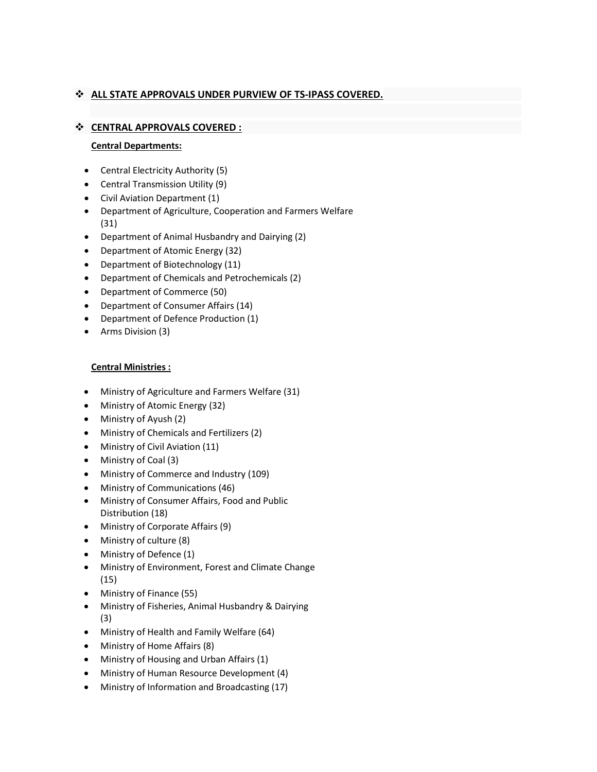## ALL STATE APPROVALS UNDER PURVIEW OF TS-IPASS COVERED.

## CENTRAL APPROVALS COVERED :

## Central Departments:

- Central Electricity Authority (5)
- Central Transmission Utility (9)
- Civil Aviation Department (1)
- Department of Agriculture, Cooperation and Farmers Welfare (31)
- Department of Animal Husbandry and Dairying (2)
- Department of Atomic Energy (32)
- Department of Biotechnology (11)
- Department of Chemicals and Petrochemicals (2)
- Department of Commerce (50)
- Department of Consumer Affairs (14)
- Department of Defence Production (1)
- Arms Division (3)

## Central Ministries :

- Ministry of Agriculture and Farmers Welfare (31)
- Ministry of Atomic Energy (32)
- Ministry of Ayush (2)
- Ministry of Chemicals and Fertilizers (2)
- Ministry of Civil Aviation (11)
- Ministry of Coal (3)
- Ministry of Commerce and Industry (109)
- Ministry of Communications (46)
- Ministry of Consumer Affairs, Food and Public Distribution (18)
- Ministry of Corporate Affairs (9)
- Ministry of culture (8)
- Ministry of Defence (1)
- Ministry of Environment, Forest and Climate Change (15)
- Ministry of Finance (55)
- Ministry of Fisheries, Animal Husbandry & Dairying (3)
- Ministry of Health and Family Welfare (64)
- Ministry of Home Affairs (8)
- Ministry of Housing and Urban Affairs (1)
- Ministry of Human Resource Development (4)
- Ministry of Information and Broadcasting (17)